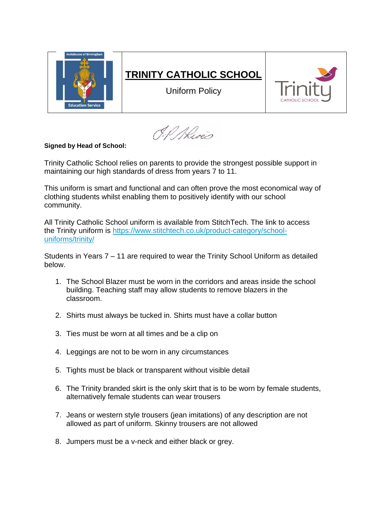

O.P. River

## **Signed by Head of School:**

Trinity Catholic School relies on parents to provide the strongest possible support in maintaining our high standards of dress from years 7 to 11.

This uniform is smart and functional and can often prove the most economical way of clothing students whilst enabling them to positively identify with our school community.

All Trinity Catholic School uniform is available from StitchTech. The link to access the Trinity uniform is [https://www.stitchtech.co.uk/product-category/school](https://www.stitchtech.co.uk/product-category/school-uniforms/trinity/)[uniforms/trinity/](https://www.stitchtech.co.uk/product-category/school-uniforms/trinity/)

Students in Years 7 – 11 are required to wear the Trinity School Uniform as detailed below.

- 1. The School Blazer must be worn in the corridors and areas inside the school building. Teaching staff may allow students to remove blazers in the classroom.
- 2. Shirts must always be tucked in. Shirts must have a collar button
- 3. Ties must be worn at all times and be a clip on
- 4. Leggings are not to be worn in any circumstances
- 5. Tights must be black or transparent without visible detail
- 6. The Trinity branded skirt is the only skirt that is to be worn by female students, alternatively female students can wear trousers
- 7. Jeans or western style trousers (jean imitations) of any description are not allowed as part of uniform. Skinny trousers are not allowed
- 8. Jumpers must be a v-neck and either black or grey.